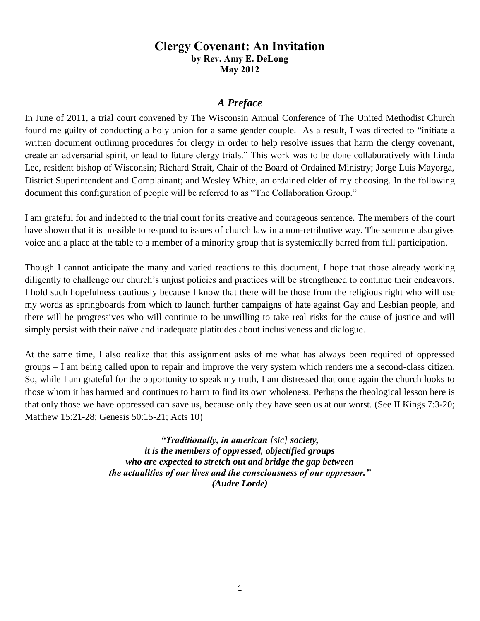# **Clergy Covenant: An Invitation by Rev. Amy E. DeLong May 2012**

## *A Preface*

In June of 2011, a trial court convened by The Wisconsin Annual Conference of The United Methodist Church found me guilty of conducting a holy union for a same gender couple. As a result, I was directed to "initiate a written document outlining procedures for clergy in order to help resolve issues that harm the clergy covenant, create an adversarial spirit, or lead to future clergy trials." This work was to be done collaboratively with Linda Lee, resident bishop of Wisconsin; Richard Strait, Chair of the Board of Ordained Ministry; Jorge Luis Mayorga, District Superintendent and Complainant; and Wesley White, an ordained elder of my choosing. In the following document this configuration of people will be referred to as "The Collaboration Group."

I am grateful for and indebted to the trial court for its creative and courageous sentence. The members of the court have shown that it is possible to respond to issues of church law in a non-retributive way. The sentence also gives voice and a place at the table to a member of a minority group that is systemically barred from full participation.

Though I cannot anticipate the many and varied reactions to this document, I hope that those already working diligently to challenge our church's unjust policies and practices will be strengthened to continue their endeavors. I hold such hopefulness cautiously because I know that there will be those from the religious right who will use my words as springboards from which to launch further campaigns of hate against Gay and Lesbian people, and there will be progressives who will continue to be unwilling to take real risks for the cause of justice and will simply persist with their naïve and inadequate platitudes about inclusiveness and dialogue.

At the same time, I also realize that this assignment asks of me what has always been required of oppressed groups – I am being called upon to repair and improve the very system which renders me a second-class citizen. So, while I am grateful for the opportunity to speak my truth, I am distressed that once again the church looks to those whom it has harmed and continues to harm to find its own wholeness. Perhaps the theological lesson here is that only those we have oppressed can save us, because only they have seen us at our worst. (See II Kings 7:3-20; Matthew 15:21-28; Genesis 50:15-21; Acts 10)

> *"Traditionally, in american [sic] society, it is the members of oppressed, objectified groups who are expected to stretch out and bridge the gap between the actualities of our lives and the consciousness of our oppressor." (Audre Lorde)*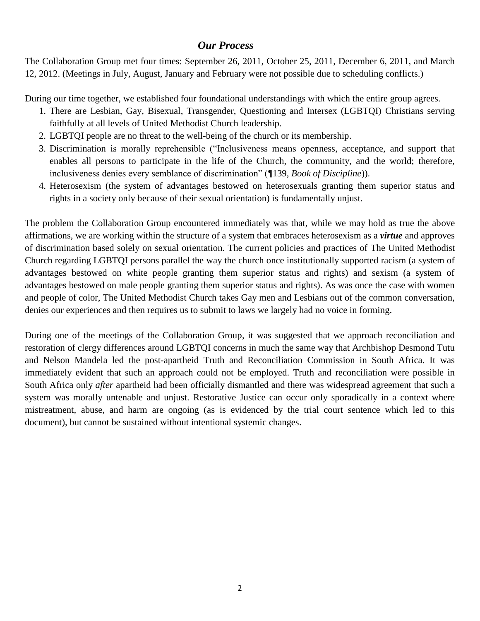# *Our Process*

The Collaboration Group met four times: September 26, 2011, October 25, 2011, December 6, 2011, and March 12, 2012. (Meetings in July, August, January and February were not possible due to scheduling conflicts.)

During our time together, we established four foundational understandings with which the entire group agrees.

- 1. There are Lesbian, Gay, Bisexual, Transgender, Questioning and Intersex (LGBTQI) Christians serving faithfully at all levels of United Methodist Church leadership.
- 2. LGBTQI people are no threat to the well-being of the church or its membership.
- 3. Discrimination is morally reprehensible ("Inclusiveness means openness, acceptance, and support that enables all persons to participate in the life of the Church, the community, and the world; therefore, inclusiveness denies every semblance of discrimination" (¶139, *Book of Discipline*)).
- 4. Heterosexism (the system of advantages bestowed on heterosexuals granting them superior status and rights in a society only because of their sexual orientation) is fundamentally unjust.

The problem the Collaboration Group encountered immediately was that, while we may hold as true the above affirmations, we are working within the structure of a system that embraces heterosexism as a *virtue* and approves of discrimination based solely on sexual orientation. The current policies and practices of The United Methodist Church regarding LGBTQI persons parallel the way the church once institutionally supported racism (a system of advantages bestowed on white people granting them superior status and rights) and sexism (a system of advantages bestowed on male people granting them superior status and rights). As was once the case with women and people of color, The United Methodist Church takes Gay men and Lesbians out of the common conversation, denies our experiences and then requires us to submit to laws we largely had no voice in forming.

During one of the meetings of the Collaboration Group, it was suggested that we approach reconciliation and restoration of clergy differences around LGBTQI concerns in much the same way that Archbishop Desmond Tutu and Nelson Mandela led the post-apartheid Truth and Reconciliation Commission in South Africa. It was immediately evident that such an approach could not be employed. Truth and reconciliation were possible in South Africa only *after* apartheid had been officially dismantled and there was widespread agreement that such a system was morally untenable and unjust. Restorative Justice can occur only sporadically in a context where mistreatment, abuse, and harm are ongoing (as is evidenced by the trial court sentence which led to this document), but cannot be sustained without intentional systemic changes.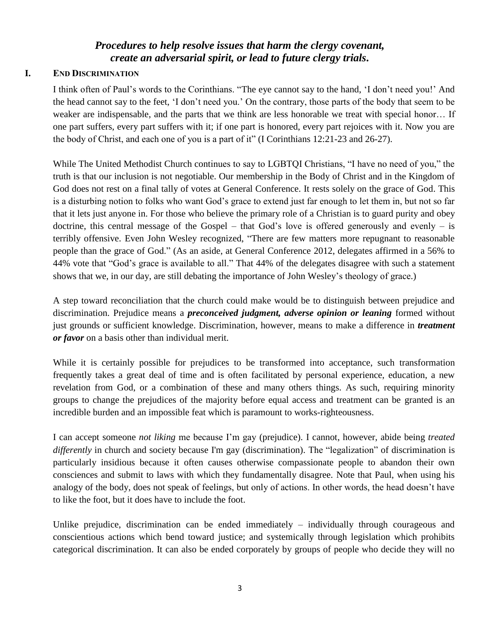# *Procedures to help resolve issues that harm the clergy covenant, create an adversarial spirit, or lead to future clergy trials.*

#### **I. END DISCRIMINATION**

I think often of Paul's words to the Corinthians. "The eye cannot say to the hand, 'I don't need you!' And the head cannot say to the feet, 'I don't need you.' On the contrary, those parts of the body that seem to be weaker are indispensable, and the parts that we think are less honorable we treat with special honor… If one part suffers, every part suffers with it; if one part is honored, every part rejoices with it. Now you are the body of Christ, and each one of you is a part of it" (I Corinthians 12:21-23 and 26-27).

While The United Methodist Church continues to say to LGBTQI Christians, "I have no need of you," the truth is that our inclusion is not negotiable. Our membership in the Body of Christ and in the Kingdom of God does not rest on a final tally of votes at General Conference. It rests solely on the grace of God. This is a disturbing notion to folks who want God's grace to extend just far enough to let them in, but not so far that it lets just anyone in. For those who believe the primary role of a Christian is to guard purity and obey doctrine, this central message of the Gospel – that God's love is offered generously and evenly – is terribly offensive. Even John Wesley recognized, "There are few matters more repugnant to reasonable people than the grace of God." (As an aside, at General Conference 2012, delegates affirmed in a 56% to 44% vote that "God's grace is available to all." That 44% of the delegates disagree with such a statement shows that we, in our day, are still debating the importance of John Wesley's theology of grace.)

A step toward reconciliation that the church could make would be to distinguish between prejudice and discrimination. Prejudice means a *preconceived judgment, adverse opinion or leaning* formed without just grounds or sufficient knowledge. Discrimination, however, means to make a difference in *treatment or favor* on a basis other than individual merit.

While it is certainly possible for prejudices to be transformed into acceptance, such transformation frequently takes a great deal of time and is often facilitated by personal experience, education, a new revelation from God, or a combination of these and many others things. As such, requiring minority groups to change the prejudices of the majority before equal access and treatment can be granted is an incredible burden and an impossible feat which is paramount to works-righteousness.

I can accept someone *not liking* me because I'm gay (prejudice). I cannot, however, abide being *treated differently* in church and society because I'm gay (discrimination). The "legalization" of discrimination is particularly insidious because it often causes otherwise compassionate people to abandon their own consciences and submit to laws with which they fundamentally disagree. Note that Paul, when using his analogy of the body, does not speak of feelings, but only of actions. In other words, the head doesn't have to like the foot, but it does have to include the foot.

Unlike prejudice, discrimination can be ended immediately – individually through courageous and conscientious actions which bend toward justice; and systemically through legislation which prohibits categorical discrimination. It can also be ended corporately by groups of people who decide they will no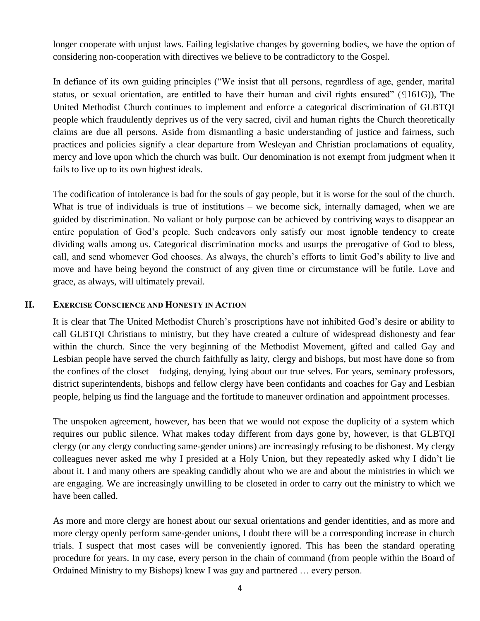longer cooperate with unjust laws. Failing legislative changes by governing bodies, we have the option of considering non-cooperation with directives we believe to be contradictory to the Gospel.

In defiance of its own guiding principles ("We insist that all persons, regardless of age, gender, marital status, or sexual orientation, are entitled to have their human and civil rights ensured" (1161G)), The United Methodist Church continues to implement and enforce a categorical discrimination of GLBTQI people which fraudulently deprives us of the very sacred, civil and human rights the Church theoretically claims are due all persons. Aside from dismantling a basic understanding of justice and fairness, such practices and policies signify a clear departure from Wesleyan and Christian proclamations of equality, mercy and love upon which the church was built. Our denomination is not exempt from judgment when it fails to live up to its own highest ideals.

The codification of intolerance is bad for the souls of gay people, but it is worse for the soul of the church. What is true of individuals is true of institutions – we become sick, internally damaged, when we are guided by discrimination. No valiant or holy purpose can be achieved by contriving ways to disappear an entire population of God's people. Such endeavors only satisfy our most ignoble tendency to create dividing walls among us. Categorical discrimination mocks and usurps the prerogative of God to bless, call, and send whomever God chooses. As always, the church's efforts to limit God's ability to live and move and have being beyond the construct of any given time or circumstance will be futile. Love and grace, as always, will ultimately prevail.

#### **II. EXERCISE CONSCIENCE AND HONESTY IN ACTION**

It is clear that The United Methodist Church's proscriptions have not inhibited God's desire or ability to call GLBTQI Christians to ministry, but they have created a culture of widespread dishonesty and fear within the church. Since the very beginning of the Methodist Movement, gifted and called Gay and Lesbian people have served the church faithfully as laity, clergy and bishops, but most have done so from the confines of the closet – fudging, denying, lying about our true selves. For years, seminary professors, district superintendents, bishops and fellow clergy have been confidants and coaches for Gay and Lesbian people, helping us find the language and the fortitude to maneuver ordination and appointment processes.

The unspoken agreement, however, has been that we would not expose the duplicity of a system which requires our public silence. What makes today different from days gone by, however, is that GLBTQI clergy (or any clergy conducting same-gender unions) are increasingly refusing to be dishonest. My clergy colleagues never asked me why I presided at a Holy Union, but they repeatedly asked why I didn't lie about it. I and many others are speaking candidly about who we are and about the ministries in which we are engaging. We are increasingly unwilling to be closeted in order to carry out the ministry to which we have been called.

As more and more clergy are honest about our sexual orientations and gender identities, and as more and more clergy openly perform same-gender unions, I doubt there will be a corresponding increase in church trials. I suspect that most cases will be conveniently ignored. This has been the standard operating procedure for years. In my case, every person in the chain of command (from people within the Board of Ordained Ministry to my Bishops) knew I was gay and partnered … every person.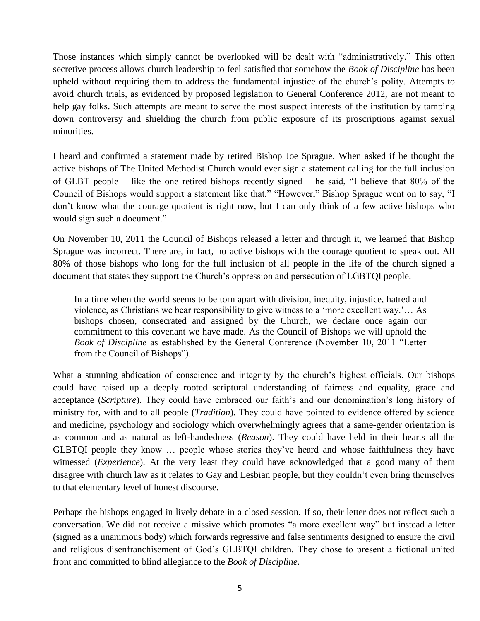Those instances which simply cannot be overlooked will be dealt with "administratively." This often secretive process allows church leadership to feel satisfied that somehow the *Book of Discipline* has been upheld without requiring them to address the fundamental injustice of the church's polity. Attempts to avoid church trials, as evidenced by proposed legislation to General Conference 2012, are not meant to help gay folks. Such attempts are meant to serve the most suspect interests of the institution by tamping down controversy and shielding the church from public exposure of its proscriptions against sexual minorities.

I heard and confirmed a statement made by retired Bishop Joe Sprague. When asked if he thought the active bishops of The United Methodist Church would ever sign a statement calling for the full inclusion of GLBT people – like the one retired bishops recently signed – he said, "I believe that 80% of the Council of Bishops would support a statement like that." "However," Bishop Sprague went on to say, "I don't know what the courage quotient is right now, but I can only think of a few active bishops who would sign such a document."

On November 10, 2011 the Council of Bishops released a letter and through it, we learned that Bishop Sprague was incorrect. There are, in fact, no active bishops with the courage quotient to speak out. All 80% of those bishops who long for the full inclusion of all people in the life of the church signed a document that states they support the Church's oppression and persecution of LGBTQI people.

In a time when the world seems to be torn apart with division, inequity, injustice, hatred and violence, as Christians we bear responsibility to give witness to a 'more excellent way.'… As bishops chosen, consecrated and assigned by the Church, we declare once again our commitment to this covenant we have made. As the Council of Bishops we will uphold the *Book of Discipline* as established by the General Conference (November 10, 2011 "Letter from the Council of Bishops").

What a stunning abdication of conscience and integrity by the church's highest officials. Our bishops could have raised up a deeply rooted scriptural understanding of fairness and equality, grace and acceptance (*Scripture*). They could have embraced our faith's and our denomination's long history of ministry for, with and to all people (*Tradition*). They could have pointed to evidence offered by science and medicine, psychology and sociology which overwhelmingly agrees that a same-gender orientation is as common and as natural as left-handedness (*Reason*). They could have held in their hearts all the GLBTQI people they know … people whose stories they've heard and whose faithfulness they have witnessed (*Experience*). At the very least they could have acknowledged that a good many of them disagree with church law as it relates to Gay and Lesbian people, but they couldn't even bring themselves to that elementary level of honest discourse.

Perhaps the bishops engaged in lively debate in a closed session. If so, their letter does not reflect such a conversation. We did not receive a missive which promotes "a more excellent way" but instead a letter (signed as a unanimous body) which forwards regressive and false sentiments designed to ensure the civil and religious disenfranchisement of God's GLBTQI children. They chose to present a fictional united front and committed to blind allegiance to the *Book of Discipline*.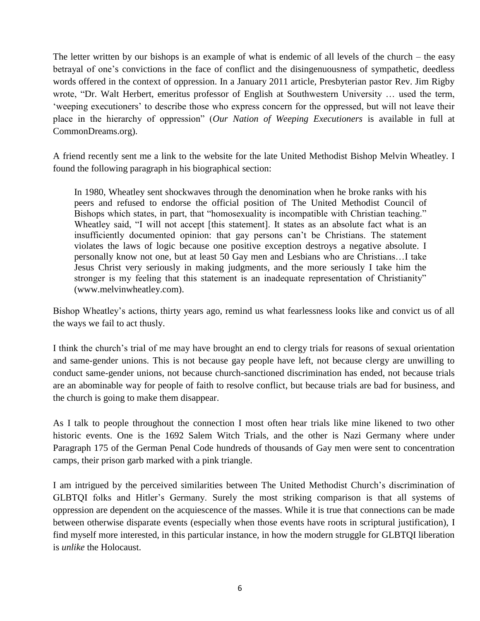The letter written by our bishops is an example of what is endemic of all levels of the church – the easy betrayal of one's convictions in the face of conflict and the disingenuousness of sympathetic, deedless words offered in the context of oppression. In a January 2011 article, Presbyterian pastor Rev. Jim Rigby wrote, "Dr. Walt Herbert, emeritus professor of English at Southwestern University … used the term, 'weeping executioners' to describe those who express concern for the oppressed, but will not leave their place in the hierarchy of oppression" (*Our Nation of Weeping Executioners* is available in full at CommonDreams.org).

A friend recently sent me a link to the website for the late United Methodist Bishop Melvin Wheatley. I found the following paragraph in his biographical section:

In 1980, Wheatley sent shockwaves through the denomination when he broke ranks with his peers and refused to endorse the official position of The United Methodist Council of Bishops which states, in part, that "homosexuality is incompatible with Christian teaching." Wheatley said, "I will not accept [this statement]. It states as an absolute fact what is an insufficiently documented opinion: that gay persons can't be Christians. The statement violates the laws of logic because one positive exception destroys a negative absolute. I personally know not one, but at least 50 Gay men and Lesbians who are Christians…I take Jesus Christ very seriously in making judgments, and the more seriously I take him the stronger is my feeling that this statement is an inadequate representation of Christianity" (www.melvinwheatley.com).

Bishop Wheatley's actions, thirty years ago, remind us what fearlessness looks like and convict us of all the ways we fail to act thusly.

I think the church's trial of me may have brought an end to clergy trials for reasons of sexual orientation and same-gender unions. This is not because gay people have left, not because clergy are unwilling to conduct same-gender unions, not because church-sanctioned discrimination has ended, not because trials are an abominable way for people of faith to resolve conflict, but because trials are bad for business, and the church is going to make them disappear.

As I talk to people throughout the connection I most often hear trials like mine likened to two other historic events. One is the 1692 Salem Witch Trials, and the other is Nazi Germany where under Paragraph 175 of the German Penal Code hundreds of thousands of Gay men were sent to concentration camps, their prison garb marked with a pink triangle.

I am intrigued by the perceived similarities between The United Methodist Church's discrimination of GLBTQI folks and Hitler's Germany. Surely the most striking comparison is that all systems of oppression are dependent on the acquiescence of the masses. While it is true that connections can be made between otherwise disparate events (especially when those events have roots in scriptural justification), I find myself more interested, in this particular instance, in how the modern struggle for GLBTQI liberation is *unlike* the Holocaust.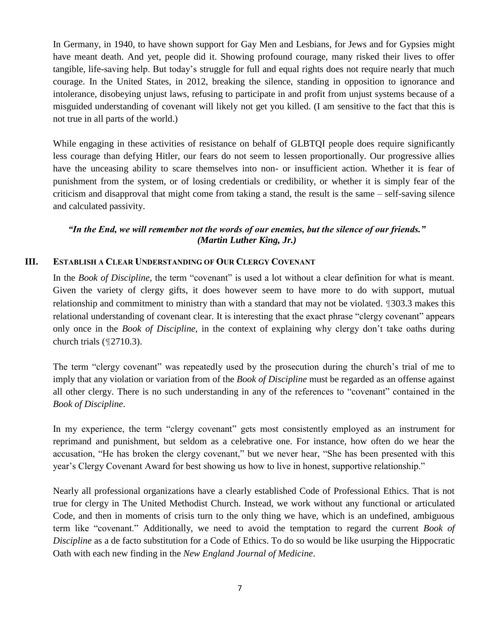In Germany, in 1940, to have shown support for Gay Men and Lesbians, for Jews and for Gypsies might have meant death. And yet, people did it. Showing profound courage, many risked their lives to offer tangible, life-saving help. But today's struggle for full and equal rights does not require nearly that much courage. In the United States, in 2012, breaking the silence, standing in opposition to ignorance and intolerance, disobeying unjust laws, refusing to participate in and profit from unjust systems because of a misguided understanding of covenant will likely not get you killed. (I am sensitive to the fact that this is not true in all parts of the world.)

While engaging in these activities of resistance on behalf of GLBTQI people does require significantly less courage than defying Hitler, our fears do not seem to lessen proportionally. Our progressive allies have the unceasing ability to scare themselves into non- or insufficient action. Whether it is fear of punishment from the system, or of losing credentials or credibility, or whether it is simply fear of the criticism and disapproval that might come from taking a stand, the result is the same – self-saving silence and calculated passivity.

## *"In the End, we will remember not the words of our enemies, but the silence of our friends." (Martin Luther King, Jr.)*

#### **III. ESTABLISH A CLEAR UNDERSTANDING OF OUR CLERGY COVENANT**

In the *Book of Discipline*, the term "covenant" is used a lot without a clear definition for what is meant. Given the variety of clergy gifts, it does however seem to have more to do with support, mutual relationship and commitment to ministry than with a standard that may not be violated. ¶303.3 makes this relational understanding of covenant clear. It is interesting that the exact phrase "clergy covenant" appears only once in the *Book of Discipline*, in the context of explaining why clergy don't take oaths during church trials (¶2710.3).

The term "clergy covenant" was repeatedly used by the prosecution during the church's trial of me to imply that any violation or variation from of the *Book of Discipline* must be regarded as an offense against all other clergy. There is no such understanding in any of the references to "covenant" contained in the *Book of Discipline*.

In my experience, the term "clergy covenant" gets most consistently employed as an instrument for reprimand and punishment, but seldom as a celebrative one. For instance, how often do we hear the accusation, "He has broken the clergy covenant," but we never hear, "She has been presented with this year's Clergy Covenant Award for best showing us how to live in honest, supportive relationship."

Nearly all professional organizations have a clearly established Code of Professional Ethics. That is not true for clergy in The United Methodist Church. Instead, we work without any functional or articulated Code, and then in moments of crisis turn to the only thing we have, which is an undefined, ambiguous term like "covenant." Additionally, we need to avoid the temptation to regard the current *Book of Discipline* as a de facto substitution for a Code of Ethics. To do so would be like usurping the Hippocratic Oath with each new finding in the *New England Journal of Medicine*.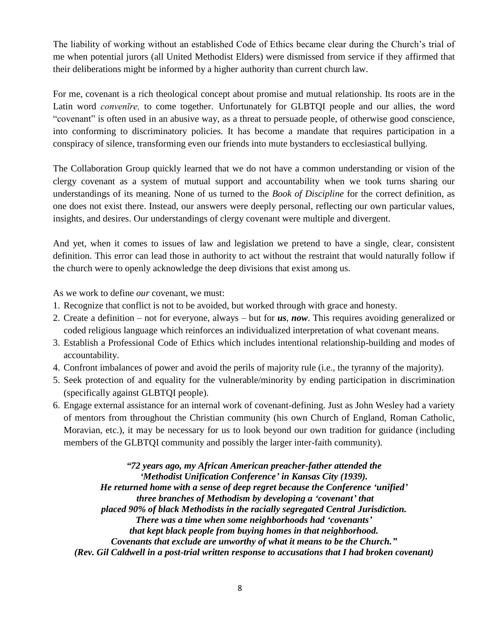The liability of working without an established Code of Ethics became clear during the Church's trial of me when potential jurors (all United Methodist Elders) were dismissed from service if they affirmed that their deliberations might be informed by a higher authority than current church law.

For me, covenant is a rich theological concept about promise and mutual relationship. Its roots are in the Latin word *convenīre,* to come together. Unfortunately for GLBTQI people and our allies, the word "covenant" is often used in an abusive way, as a threat to persuade people, of otherwise good conscience, into conforming to discriminatory policies. It has become a mandate that requires participation in a conspiracy of silence, transforming even our friends into mute bystanders to ecclesiastical bullying.

The Collaboration Group quickly learned that we do not have a common understanding or vision of the clergy covenant as a system of mutual support and accountability when we took turns sharing our understandings of its meaning. None of us turned to the *Book of Discipline* for the correct definition, as one does not exist there. Instead, our answers were deeply personal, reflecting our own particular values, insights, and desires. Our understandings of clergy covenant were multiple and divergent.

And yet, when it comes to issues of law and legislation we pretend to have a single, clear, consistent definition. This error can lead those in authority to act without the restraint that would naturally follow if the church were to openly acknowledge the deep divisions that exist among us.

As we work to define *our* covenant, we must:

- 1. Recognize that conflict is not to be avoided, but worked through with grace and honesty.
- 2. Create a definition not for everyone, always but for *us*, *now*. This requires avoiding generalized or coded religious language which reinforces an individualized interpretation of what covenant means.
- 3. Establish a Professional Code of Ethics which includes intentional relationship-building and modes of accountability.
- 4. Confront imbalances of power and avoid the perils of majority rule (i.e., the tyranny of the majority).
- 5. Seek protection of and equality for the vulnerable/minority by ending participation in discrimination (specifically against GLBTQI people).
- 6. Engage external assistance for an internal work of covenant-defining. Just as John Wesley had a variety of mentors from throughout the Christian community (his own Church of England, Roman Catholic, Moravian, etc.), it may be necessary for us to look beyond our own tradition for guidance (including members of the GLBTQI community and possibly the larger inter-faith community).

*"72 years ago, my African American preacher-father attended the 'Methodist Unification Conference' in Kansas City (1939). He returned home with a sense of deep regret because the Conference 'unified' three branches of Methodism by developing a 'covenant' that placed 90% of black Methodists in the racially segregated Central Jurisdiction. There was a time when some neighborhoods had 'covenants' that kept black people from buying homes in that neighborhood. Covenants that exclude are unworthy of what it means to be the Church." (Rev. Gil Caldwell in a post-trial written response to accusations that I had broken covenant)*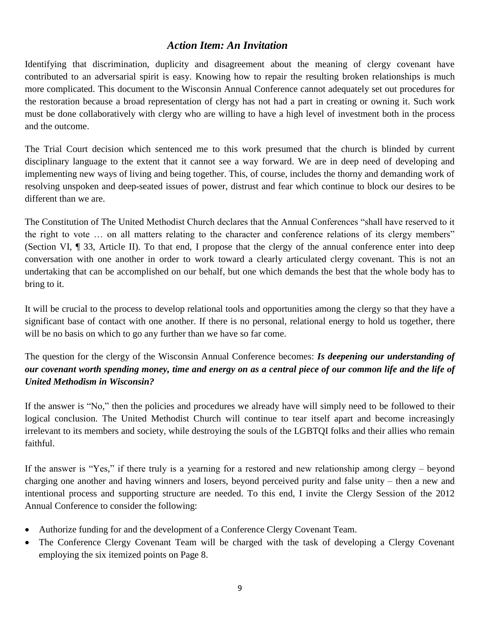## *Action Item: An Invitation*

Identifying that discrimination, duplicity and disagreement about the meaning of clergy covenant have contributed to an adversarial spirit is easy. Knowing how to repair the resulting broken relationships is much more complicated. This document to the Wisconsin Annual Conference cannot adequately set out procedures for the restoration because a broad representation of clergy has not had a part in creating or owning it. Such work must be done collaboratively with clergy who are willing to have a high level of investment both in the process and the outcome.

The Trial Court decision which sentenced me to this work presumed that the church is blinded by current disciplinary language to the extent that it cannot see a way forward. We are in deep need of developing and implementing new ways of living and being together. This, of course, includes the thorny and demanding work of resolving unspoken and deep-seated issues of power, distrust and fear which continue to block our desires to be different than we are.

The Constitution of The United Methodist Church declares that the Annual Conferences "shall have reserved to it the right to vote … on all matters relating to the character and conference relations of its clergy members" (Section VI, ¶ 33, Article II). To that end, I propose that the clergy of the annual conference enter into deep conversation with one another in order to work toward a clearly articulated clergy covenant. This is not an undertaking that can be accomplished on our behalf, but one which demands the best that the whole body has to bring to it.

It will be crucial to the process to develop relational tools and opportunities among the clergy so that they have a significant base of contact with one another. If there is no personal, relational energy to hold us together, there will be no basis on which to go any further than we have so far come.

The question for the clergy of the Wisconsin Annual Conference becomes: *Is deepening our understanding of our covenant worth spending money, time and energy on as a central piece of our common life and the life of United Methodism in Wisconsin?*

If the answer is "No," then the policies and procedures we already have will simply need to be followed to their logical conclusion. The United Methodist Church will continue to tear itself apart and become increasingly irrelevant to its members and society, while destroying the souls of the LGBTQI folks and their allies who remain faithful.

If the answer is "Yes," if there truly is a yearning for a restored and new relationship among clergy – beyond charging one another and having winners and losers, beyond perceived purity and false unity – then a new and intentional process and supporting structure are needed. To this end, I invite the Clergy Session of the 2012 Annual Conference to consider the following:

- Authorize funding for and the development of a Conference Clergy Covenant Team.
- The Conference Clergy Covenant Team will be charged with the task of developing a Clergy Covenant employing the six itemized points on Page 8.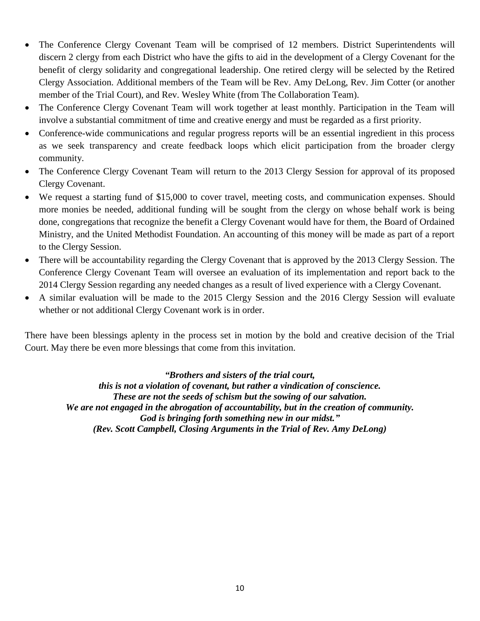- The Conference Clergy Covenant Team will be comprised of 12 members. District Superintendents will discern 2 clergy from each District who have the gifts to aid in the development of a Clergy Covenant for the benefit of clergy solidarity and congregational leadership. One retired clergy will be selected by the Retired Clergy Association. Additional members of the Team will be Rev. Amy DeLong, Rev. Jim Cotter (or another member of the Trial Court), and Rev. Wesley White (from The Collaboration Team).
- The Conference Clergy Covenant Team will work together at least monthly. Participation in the Team will involve a substantial commitment of time and creative energy and must be regarded as a first priority.
- Conference-wide communications and regular progress reports will be an essential ingredient in this process as we seek transparency and create feedback loops which elicit participation from the broader clergy community.
- The Conference Clergy Covenant Team will return to the 2013 Clergy Session for approval of its proposed Clergy Covenant.
- We request a starting fund of \$15,000 to cover travel, meeting costs, and communication expenses. Should more monies be needed, additional funding will be sought from the clergy on whose behalf work is being done, congregations that recognize the benefit a Clergy Covenant would have for them, the Board of Ordained Ministry, and the United Methodist Foundation. An accounting of this money will be made as part of a report to the Clergy Session.
- There will be accountability regarding the Clergy Covenant that is approved by the 2013 Clergy Session. The Conference Clergy Covenant Team will oversee an evaluation of its implementation and report back to the 2014 Clergy Session regarding any needed changes as a result of lived experience with a Clergy Covenant.
- A similar evaluation will be made to the 2015 Clergy Session and the 2016 Clergy Session will evaluate whether or not additional Clergy Covenant work is in order.

There have been blessings aplenty in the process set in motion by the bold and creative decision of the Trial Court. May there be even more blessings that come from this invitation.

*"Brothers and sisters of the trial court, this is not a violation of covenant, but rather a vindication of conscience. These are not the seeds of schism but the sowing of our salvation. We are not engaged in the abrogation of accountability, but in the creation of community. God is bringing forth something new in our midst." (Rev. Scott Campbell, Closing Arguments in the Trial of Rev. Amy DeLong)*